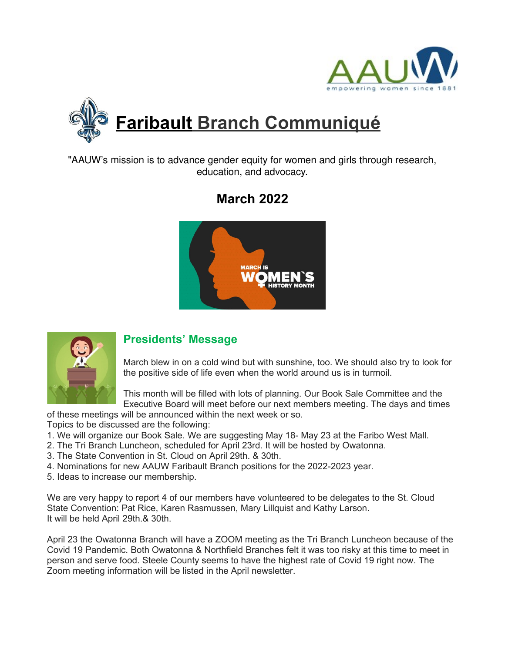



"AAUW's mission is to advance gender equity for women and girls through research, education, and advocacy.

# **March 2022**





### **Presidents' Message**

March blew in on a cold wind but with sunshine, too. We should also try to look for the positive side of life even when the world around us is in turmoil.

This month will be filled with lots of planning. Our Book Sale Committee and the Executive Board will meet before our next members meeting. The days and times

of these meetings will be announced within the next week or so.

Topics to be discussed are the following:

- 1. We will organize our Book Sale. We are suggesting May 18- May 23 at the Faribo West Mall.
- 2. The Tri Branch Luncheon, scheduled for April 23rd. It will be hosted by Owatonna.
- 3. The State Convention in St. Cloud on April 29th. & 30th.
- 4. Nominations for new AAUW Faribault Branch positions for the 2022-2023 year.
- 5. Ideas to increase our membership.

We are very happy to report 4 of our members have volunteered to be delegates to the St. Cloud State Convention: Pat Rice, Karen Rasmussen, Mary Lillquist and Kathy Larson. It will be held April 29th.& 30th.

April 23 the Owatonna Branch will have a ZOOM meeting as the Tri Branch Luncheon because of the Covid 19 Pandemic. Both Owatonna & Northfield Branches felt it was too risky at this time to meet in person and serve food. Steele County seems to have the highest rate of Covid 19 right now. The Zoom meeting information will be listed in the April newsletter.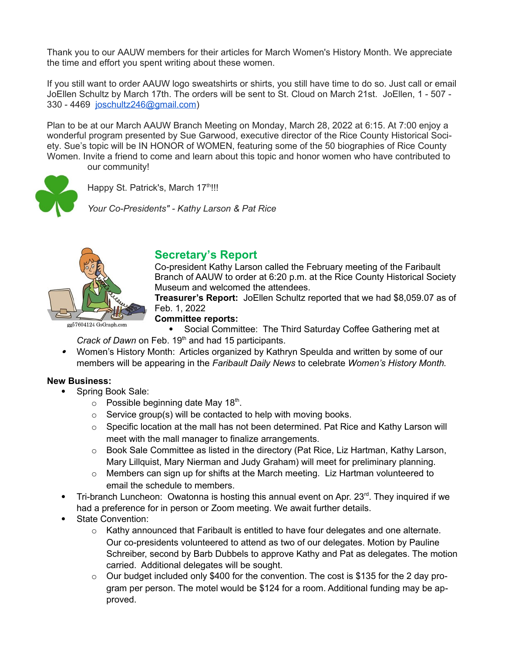Thank you to our AAUW members for their articles for March Women's History Month. We appreciate the time and effort you spent writing about these women.

If you still want to order AAUW logo sweatshirts or shirts, you still have time to do so. Just call or email JoEllen Schultz by March 17th. The orders will be sent to St. Cloud on March 21st. JoEllen, 1 - 507 - 330 - 4469 joschultz246@gmail.com)

Plan to be at our March AAUW Branch Meeting on Monday, March 28, 2022 at 6:15. At 7:00 enjoy a wonderful program presented by Sue Garwood, executive director of the Rice County Historical Society. Sue's topic will be IN HONOR of WOMEN, featuring some of the 50 biographies of Rice County Women. Invite a friend to come and learn about this topic and honor women who have contributed to our community!



Happy St. Patrick's, March 17<sup>th</sup>!!!

*Your Co-Presidents" - Kathy Larson & Pat Rice*



### **Secretary's Report**

Co-president Kathy Larson called the February meeting of the Faribault Branch of AAUW to order at 6:20 p.m. at the Rice County Historical Society Museum and welcomed the attendees.

**Treasurer's Report:** JoEllen Schultz reported that we had \$8,059.07 as of Feb. 1, 2022

gg57604124 GoGraph

**Committee reports:**

 Social Committee: The Third Saturday Coffee Gathering met at *Crack of Dawn* on Feb. 19<sup>th</sup> and had 15 participants.

 Women's History Month: Articles organized by Kathryn Speulda and written by some of our members will be appearing in the *Faribault Daily News* to celebrate *Women's History Month.*

#### **New Business:**

- Spring Book Sale:
	- $\circ$  Possible beginning date May 18<sup>th</sup>.
	- $\circ$  Service group(s) will be contacted to help with moving books.
	- $\circ$  Specific location at the mall has not been determined. Pat Rice and Kathy Larson will meet with the mall manager to finalize arrangements.
	- $\circ$  Book Sale Committee as listed in the directory (Pat Rice, Liz Hartman, Kathy Larson, Mary Lillquist, Mary Nierman and Judy Graham) will meet for preliminary planning.
	- $\circ$  Members can sign up for shifts at the March meeting. Liz Hartman volunteered to email the schedule to members.
- Tri-branch Luncheon: Owatonna is hosting this annual event on Apr.  $23<sup>rd</sup>$ . They inquired if we had a preference for in person or Zoom meeting. We await further details.
- State Convention:
	- o Kathy announced that Faribault is entitled to have four delegates and one alternate. Our co-presidents volunteered to attend as two of our delegates. Motion by Pauline Schreiber, second by Barb Dubbels to approve Kathy and Pat as delegates. The motion carried. Additional delegates will be sought.
	- o Our budget included only \$400 for the convention. The cost is \$135 for the 2 day program per person. The motel would be \$124 for a room. Additional funding may be approved.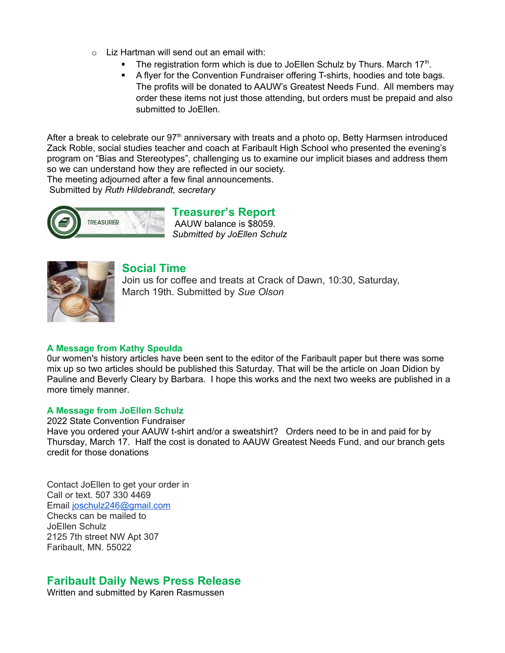- $\circ$  Liz Hartman will send out an email with:
	- The registration form which is due to JoEllen Schulz by Thurs. March 17<sup>th</sup>.
	- A flyer for the Convention Fundraiser offering T-shirts, hoodies and tote bags. The profits will be donated to AAUW's Greatest Needs Fund. All members may order these items not just those attending, but orders must be prepaid and also submitted to JoEllen.

After a break to celebrate our  $97<sup>th</sup>$  anniversary with treats and a photo op, Betty Harmsen introduced Zack Roble, social studies teacher and coach at Faribault High School who presented the evening's program on "Bias and Stereotypes", challenging us to examine our implicit biases and address them so we can understand how they are reflected in our society.

The meeting adjourned after a few final announcements.

Submitted by *Ruth Hildebrandt, secretary*



#### **Treasurer's Report** AAUW balance is \$8059. *Submitted by JoEllen Schulz*



### **Social Time**

Join us for coffee and treats at Crack of Dawn, 10:30, Saturday, March 19th. Submitted by *Sue Olson*

#### **A Message from Kathy Speulda**

0ur women's history articles have been sent to the editor of the Faribault paper but there was some mix up so two articles should be published this Saturday. That will be the article on Joan Didion by Pauline and Beverly Cleary by Barbara. I hope this works and the next two weeks are published in a more timely manner.

#### **A Message from JoEllen Schulz**

2022 State Convention Fundraiser

Have you ordered your AAUW t-shirt and/or a sweatshirt? Orders need to be in and paid for by Thursday, March 17. Half the cost is donated to AAUW Greatest Needs Fund, and our branch gets credit for those donations

Contact JoEllen to get your order in Call or text. 507 330 4469 Email joschulz246@gmail.com Checks can be mailed to JoEllen Schulz 2125 7th street NW Apt 307 Faribault, MN. 55022

### **Faribault Daily News Press Release**

Written and submitted by Karen Rasmussen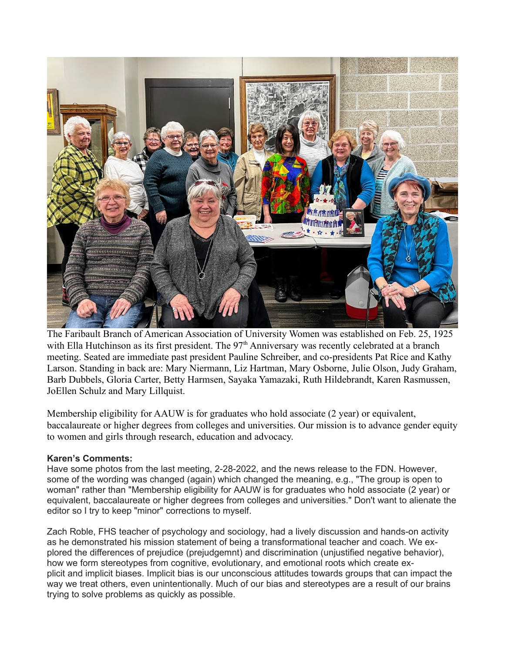

The Faribault Branch of American Association of University Women was established on Feb. 25, 1925 with Ella Hutchinson as its first president. The 97<sup>th</sup> Anniversary was recently celebrated at a branch meeting. Seated are immediate past president Pauline Schreiber, and co-presidents Pat Rice and Kathy Larson. Standing in back are: Mary Niermann, Liz Hartman, Mary Osborne, Julie Olson, Judy Graham, Barb Dubbels, Gloria Carter, Betty Harmsen, Sayaka Yamazaki, Ruth Hildebrandt, Karen Rasmussen, JoEllen Schulz and Mary Lillquist.

Membership eligibility for AAUW is for graduates who hold associate (2 year) or equivalent, baccalaureate or higher degrees from colleges and universities. Our mission is to advance gender equity to women and girls through research, education and advocacy.

#### **Karen's Comments:**

Have some photos from the last meeting, 2-28-2022, and the news release to the FDN. However, some of the wording was changed (again) which changed the meaning, e.g., "The group is open to woman" rather than "Membership eligibility for AAUW is for graduates who hold associate (2 year) or equivalent, baccalaureate or higher degrees from colleges and universities." Don't want to alienate the editor so I try to keep "minor" corrections to myself.

Zach Roble, FHS teacher of psychology and sociology, had a lively discussion and hands-on activity as he demonstrated his mission statement of being a transformational teacher and coach. We explored the differences of prejudice (prejudgemnt) and discrimination (unjustified negative behavior), how we form stereotypes from cognitive, evolutionary, and emotional roots which create explicit and implicit biases. Implicit bias is our unconscious attitudes towards groups that can impact the way we treat others, even unintentionally. Much of our bias and stereotypes are a result of our brains trying to solve problems as quickly as possible.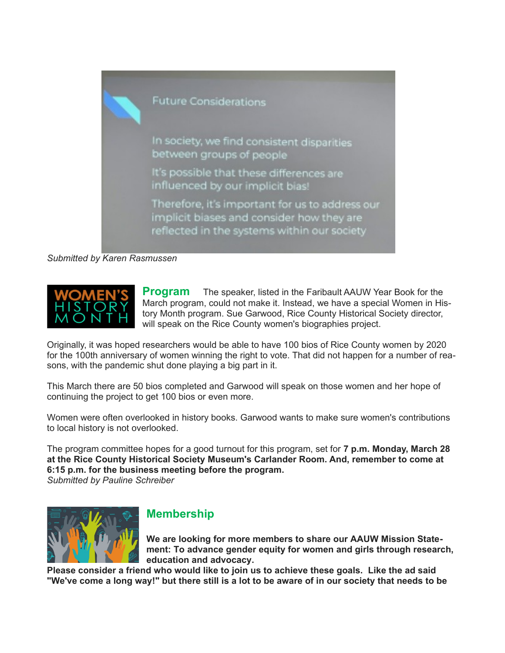

*Submitted by Karen Rasmussen*



**Program** The speaker, listed in the Faribault AAUW Year Book for the March program, could not make it. Instead, we have a special Women in History Month program. Sue Garwood, Rice County Historical Society director, will speak on the Rice County women's biographies project.

Originally, it was hoped researchers would be able to have 100 bios of Rice County women by 2020 for the 100th anniversary of women winning the right to vote. That did not happen for a number of reasons, with the pandemic shut done playing a big part in it.

This March there are 50 bios completed and Garwood will speak on those women and her hope of continuing the project to get 100 bios or even more.

Women were often overlooked in history books. Garwood wants to make sure women's contributions to local history is not overlooked.

The program committee hopes for a good turnout for this program, set for **7 p.m. Monday, March 28 at the Rice County Historical Society Museum's Carlander Room. And, remember to come at 6:15 p.m. for the business meeting before the program.** *Submitted by Pauline Schreiber*



### **Membership**

**We are looking for more members to share our AAUW Mission Statement: To advance gender equity for women and girls through research, education and advocacy.**

**Please consider a friend who would like to join us to achieve these goals. Like the ad said "We've come a long way!" but there still is a lot to be aware of in our society that needs to be**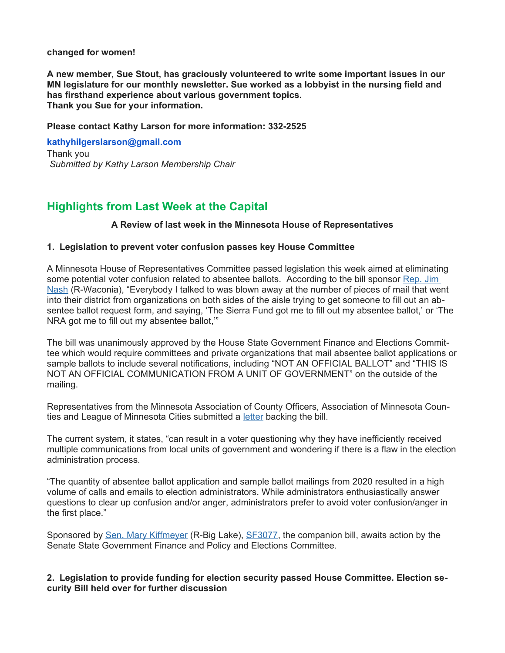#### **changed for women!**

**A new member, Sue Stout, has graciously volunteered to write some important issues in our MN legislature for our monthly newsletter. Sue worked as a lobbyist in the nursing field and has firsthand experience about various government topics. Thank you Sue for your information.**

#### **Please contact Kathy Larson for more information: 332-2525**

**kathyhilgerslarson@gmail.com** Thank you *Submitted by Kathy Larson Membership Chair*

### **Highlights from Last Week at the Capital**

#### **A Review of last week in the Minnesota House of Representatives**

#### **1. Legislation to prevent voter confusion passes key House Committee**

A Minnesota House of Representatives Committee passed legislation this week aimed at eliminating some potential voter confusion related to absentee ballots. According to the bill sponsor Rep. Jim Nash (R-Waconia), "Everybody I talked to was blown away at the number of pieces of mail that went into their district from organizations on both sides of the aisle trying to get someone to fill out an absentee ballot request form, and saying, 'The Sierra Fund got me to fill out my absentee ballot,' or 'The NRA got me to fill out my absentee ballot,'"

The bill was unanimously approved by the House State Government Finance and Elections Committee which would require committees and private organizations that mail absentee ballot applications or sample ballots to include several notifications, including "NOT AN OFFICIAL BALLOT" and "THIS IS NOT AN OFFICIAL COMMUNICATION FROM A UNIT OF GOVERNMENT" on the outside of the mailing.

Representatives from the Minnesota Association of County Officers, Association of Minnesota Counties and League of Minnesota Cities submitted a letter backing the bill.

The current system, it states, "can result in a voter questioning why they have inefficiently received multiple communications from local units of government and wondering if there is a flaw in the election administration process.

"The quantity of absentee ballot application and sample ballot mailings from 2020 resulted in a high volume of calls and emails to election administrators. While administrators enthusiastically answer questions to clear up confusion and/or anger, administrators prefer to avoid voter confusion/anger in the first place."

Sponsored by Sen. Mary Kiffmeyer (R-Big Lake), SF3077, the companion bill, awaits action by the Senate State Government Finance and Policy and Elections Committee.

#### **2. Legislation to provide funding for election security passed House Committee. Election security Bill held over for further discussion**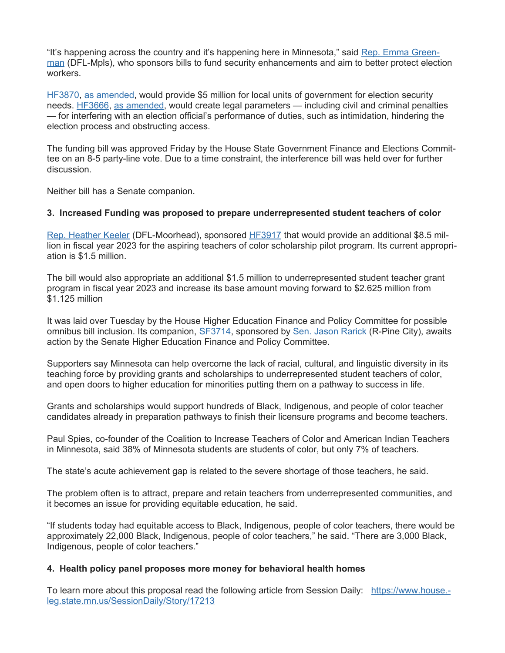"It's happening across the country and it's happening here in Minnesota," said Rep. Emma Greenman (DFL-Mpls), who sponsors bills to fund security enhancements and aim to better protect election workers.

HF3870, as amended, would provide \$5 million for local units of government for election security needs. **HF3666**, as amended, would create legal parameters — including civil and criminal penalties — for interfering with an election official's performance of duties, such as intimidation, hindering the election process and obstructing access.

The funding bill was approved Friday by the House State Government Finance and Elections Committee on an 8-5 party-line vote. Due to a time constraint, the interference bill was held over for further discussion.

Neither bill has a Senate companion.

#### **3. Increased Funding was proposed to prepare underrepresented student teachers of color**

Rep. Heather Keeler (DFL-Moorhead), sponsored HF3917 that would provide an additional \$8.5 million in fiscal year 2023 for the aspiring teachers of color scholarship pilot program. Its current appropriation is \$1.5 million.

The bill would also appropriate an additional \$1.5 million to underrepresented student teacher grant program in fiscal year 2023 and increase its base amount moving forward to \$2.625 million from \$1.125 million

It was laid over Tuesday by the House Higher Education Finance and Policy Committee for possible omnibus bill inclusion. Its companion, SF3714, sponsored by Sen. Jason Rarick (R-Pine City), awaits action by the Senate Higher Education Finance and Policy Committee.

Supporters say Minnesota can help overcome the lack of racial, cultural, and linguistic diversity in its teaching force by providing grants and scholarships to underrepresented student teachers of color, and open doors to higher education for minorities putting them on a pathway to success in life.

Grants and scholarships would support hundreds of Black, Indigenous, and people of color teacher candidates already in preparation pathways to finish their licensure programs and become teachers.

Paul Spies, co-founder of the Coalition to Increase Teachers of Color and American Indian Teachers in Minnesota, said 38% of Minnesota students are students of color, but only 7% of teachers.

The state's acute achievement gap is related to the severe shortage of those teachers, he said.

The problem often is to attract, prepare and retain teachers from underrepresented communities, and it becomes an issue for providing equitable education, he said.

"If students today had equitable access to Black, Indigenous, people of color teachers, there would be approximately 22,000 Black, Indigenous, people of color teachers," he said. "There are 3,000 Black, Indigenous, people of color teachers."

#### **4. Health policy panel proposes more money for behavioral health homes**

To learn more about this proposal read the following article from Session Daily: https://www.house. leg.state.mn.us/SessionDaily/Story/17213